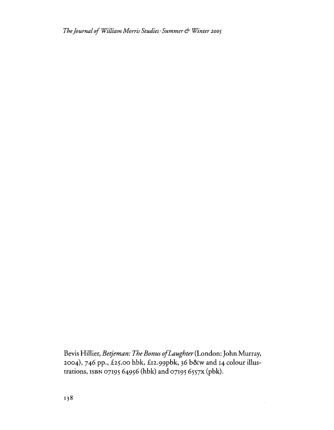*TheJournal ofWilliam Morris Studies· Summer* & *Winter <sup>2005</sup>*

Bevis Hillier, *Betjeman: The Bonus ofLaughter*(London:John Murray, 2004), 746 pp., £25.00 hbk, £12.99pbk, 36 b&w and 14 colour illustrations, ISBN 0719564956 (hbk) and 07195 6557X (pbk).

 $\bar{z}$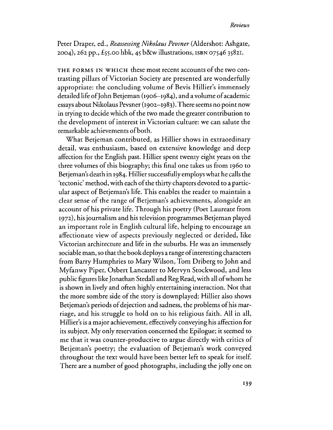Peter Draper, ed., *Reassessing Nikolaus Pevsner* (Aldershot: Ashgate, 2004),262 pp., £55.00 hbk, 45 b&w illustrations, ISBN 07546 35821.

THE FORMS IN WHICH these most recent accounts of the two contrasting pillars of Victorian Society are presented are wonderfully appropriate: the concluding volume of Bevis Hillier's immensely detailed life of John Betjeman (1906–1984), and a volume of academic essays about Nikolaus Pevsner (1902-1983). There seems no point now in trying to decide which of the two made the greater contribution to the development of interest in Victorian culture: we can salute the remarkable achievements of both.

What Betjeman contributed, as Hillier shows in extraordinary detail, was enthusiasm, based on extensive knowledge and deep affection for the English past. Hillier spent twenty eight years on the three volumes of this biography; this final one takes us from 1960 to Betjeman's death in 1984. Hillier successfully employs what he calls the 'tectonic' method, with each of the thirty chapters devoted to a particular aspect of Betjeman's life. This enables the reader to maintain a clear sense of the range of Betjeman's achievements, alongside an account of his private life. Through his poetry (Poet Laureate from 1972), his journalism and his television programmes Betjeman played an important role in English cultural life, helping to encourage an affectionate view of aspects previously neglected or derided, like Victorian architecture and life in the suburbs. He was an immensely sociable man, so that the book deploys a rangeofinteresting characters from Barry Humphries to Mary Wilson, Tom Driberg to John and Myfanwy Piper, Osbert Lancaster to Mervyn Stockwood, and less public figures like Jonathan Stedall and Reg Read, with all of whom he is shown in lively and often highly entertaining interaction. Not that the more sombre side of the story is downplayed: Hillier also shows Betjeman's periods of dejection and sadness, the problems of his marriage, and his struggle to hold on to his religious faith. All in all, Hillier's is a major achievement, effectively conveying his affection for its subject. My only reservation concerned the Epilogue; it seemed to me that it was counter-productive to argue directly with critics of Betjeman's poetry; the evaluation of Betjeman's work conveyed throughout the text would have been better left to speak for itself. There are a number of good photographs, including the jolly one on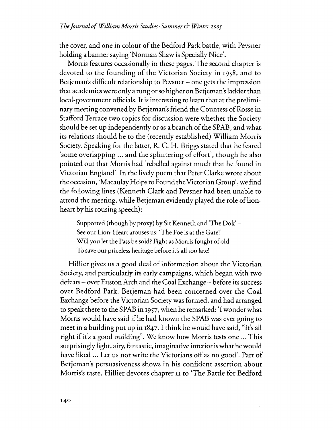the cover, and one in colour of the Bedford Park battle, with Pevsner holding a banner saying 'Norman Shaw is Specially Nice'.

Morris features occasionally in these pages. The second chapter is devoted to the founding of the Victorian Society in 1958, and to Betjeman's difficult relationship to Pevsner – one gets the impression that academics were onlya rung orso higher on Betjeman'sladder than local-government officials. It is interesting to learn that at the preliminary meeting convened by Betjeman's friend the Countess of Rosse in Stafford Terrace two topics for discussion were whether the Society should be set up independently or as a branch of the SPAB, and what its relations should be to the (recently established) William Morris Society. Speaking for the latter, R. C. H. Briggs stated that he feared 'some overlapping ... and the splintering of effort', though he also pointed out that Morris had 'rebelled against much that he found in Victorian England'. In the lively poem that Peter Clarke wrote about the occasion, 'MacaulayHelpsto Found theVictorian Group', we find the following lines (Kenneth Clark and Pevsner had been unable to attend the meeting, while Betjeman evidently played the role of lionheart by his rousing speech):

Supported (though by proxy) by Sir Kenneth and 'The Dok' – See our Lion-Heart arouses us: 'The Foe is at the Gate!' Will you let the Pass be sold? Fight as Morris fought of old To save our priceless heritage before it's all too late!

Hillier gives us a good deal of information about the Victorian Society, and particularly its early campaigns, which began with two defeats - over Euston Arch and the Coal Exchange - before its success over Bedford Park. Betjeman had been concerned over the Coal Exchange before the Victorian Society was formed, and had arranged to speak there to the SPAB in 1957, when he remarked: '1 wonderwhat Morris would have said ifhe had known the SPAB was ever going to meet in a building put up in 1847. I think he would have said, "It's all right if it's a good building". We know how Morris tests one ... This surprisingly light, airy, fantastic, imaginative interior is what he would have liked ... Let us not write the Victorians off as no good'. Part of Betjeman's persuasiveness shows in his confident assertion about Morris's taste. Hillier devotes chapter II to 'The Battle for Bedford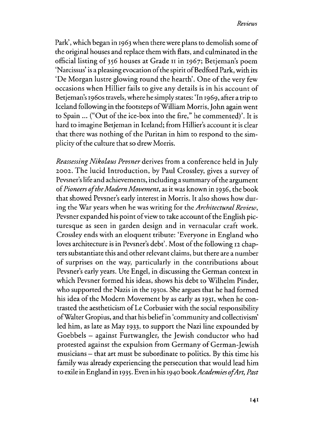Park', which began in 1963 when there were plans to demolish some of the original houses and replace them with flats, and culminated in the official listing of 356 houses at Grade II in 1967; Betjeman's poem 'Narcissus' is a pleasing evocation of the spirit of Bedford Park, with its 'De Morgan lustre glowing round the hearth'. One of the very few occasions when Hillier fails to give any details is in his account of Betjeman's *1960s*travels, where he simplystates: 'In 1969, after a trip to Iceland following in the footsteps ofWilliam Morris,John again went to Spain  $\ldots$  ("Out of the ice-box into the fire," he commented)'. It is hard to imagine Betjeman in Iceland; from Hillier's account it is clear that there was nothing of the Puritan in him to respond to the simplicity of the culture that so drew Morris.

*Reassessing Nikolaus Pevsner* derives from a conference held in July 2002. The lucid Introduction, by Paul Crossley, gives a survey of Pevsner's life and achievements, including a summary of the argument of*Pioneers oftheModern Movement,* as it was known in 1936, the book that showed Pevsner's early interest in Morris. It also shows how dur.. ing the War years when he was writing for the *Architectural Review*, Pevsner expanded his point of view to take account of the English picturesque as seen in garden design and in vernacular craft work. Crossley ends with an eloquent tribute: 'Everyone in England who loves architecture is in Pevsner's debt'. Most of the following 12 chapters substantiate this and other relevant claims, but there are a number of surprises on the way, particularly in the contributions about Pevsner's early years. Ute Engel, in discussing the German context in which Pevsner formed his ideas, shows his debt to Wilhelm Pinder, who supported the Nazis in the *1930S.* She argues that he had formed his idea of the Modern Movement by as early as 1931, when he contrasted the aestheticism of Le Corbusier with the social responsibility ofWaiter Gropius, and that his beliefin 'community and collectivism' led him, as late as May 1933, to support the Nazi line expounded by Goebbels - against Furtwangler, the Jewish conductor who had protested against the expulsion from Germany of German-Jewish musicians - that art must be subordinate to politics. By this time his family was already experiencing the persecution that would lead him to exile in England in 1935. Even in his 1940 book*AcademiesofArt, Past*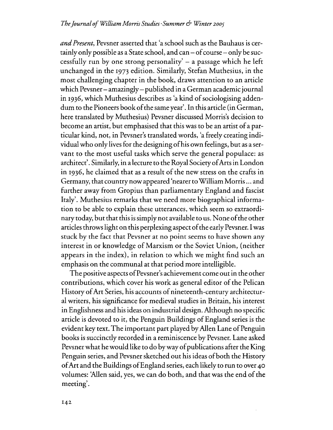*andPresent,* Pevsner asserted that 'a school such as the Bauhaus is certainly only possible as a State school, and  $can - of course - only be suc$ cessfully run by one strong personality'  $-$  a passage which he left unchanged in the 1973 edition. Similarly, Stefan Muthesius, in the most challenging chapter in the book, draws attention to an article which Pevsner- amazingly- published in a German academic journal in 1936, which Muthesius describes as 'a kind of sociologising addendum to the Pioneers book ofthe same year'. In this article (in German, here translated by Muthesius) Pevsner discussed Morris's decision to become an artist, but emphasised that this was to be an artist of a particular kind, not, in Pevsner's translated words, 'a freely creating individual who only lives for the designing of his own feelings, but as a servant to the most useful tasks which serve the general populace: as architect'. Similarly, in a lecture to the Royal Society ofArts in London in 1936, he claimed that as a result of the new stress on the crafts in Germany, that countrynow appeared 'nearertoWilliam Morris... and further away from Gropius than parliamentary England and fascist Italy'. Muthesius remarks that we need more biographical information to be able to explain these utterances, which seem so extraordinary today, but that this is simply not available to us. None of the other articles throws light on this perplexing aspect of the early Pevsner. I was stuck by the fact that Pevsner at no point seems to have shown any interest in or knowledge of Marxism or the Soviet Union, (neither appears in the index), in relation to which we might find such an emphasis on the communal at that period more intelligible.

The positive aspects of Pevsner's achievement come out in the other contributions, which cover his work as general editor of the Pelican History of Art Series, his accounts of nineteenth-century architectural writers, his significance for medieval studies in Britain, his interest in Englishness and his ideas on industrial design. Although no specific article is devoted to it, the Penguin Buildings of England series is the evident key text. The important part played by Allen Lane of Penguin books is succinctly recorded in a reminiscence by Pevsner. Lane asked Pevsner what he would like to do by way of publications after the King Penguin series, and Pevsner sketched out his ideas of both the History ofArt and the Buildings ofEngland series, each likely to run to over 40 volumes: 'Allen said, yes, we can do both, and that was the end of the meeting'.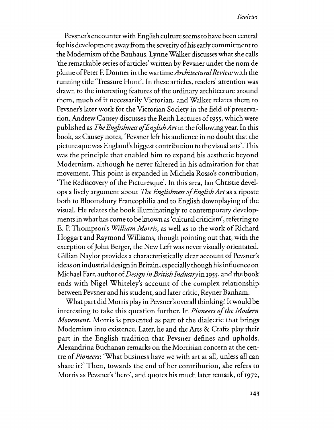Pevsner's encounter with English culture seems to have been central for his development away from the severity ofhis early commitment to the Modernism of the Bauhaus. Lynne Walker discusses what she calls 'the remarkable series ofarticles' written by Pevsner under the nom de plume of Peter F. Donner in the wartime *Architectural Review* with the running title 'Treasure Hunt'. In these articles, readers' attention was drawn to the interesting features of the ordinary architecture around them, much of it necessarily Victorian, and Walker relates them to Pevsner's later work for the Victorian Society in the field of preservation. Andrew Causey discusses the Reith Lectures of 1955, which were published as *The Englishness ofEnglishAtt*in the following year. In this book, as Causey notes, 'Pevsner left his audience in no doubt that the picturesquewas England's biggest contribution to the visual arts'.This was the principle that enabled him to expand his aesthetic beyond Modernism, although he never faltered in his admiration for that movement. This point is expanded in Michela Rosso's contribution, 'The Rediscovery of the Picturesque'. In this area, Ian Christie develops a lively argument about *The Englishness ofEnglish Art* as a riposte both to Bloomsbury Francophilia and to English downplaying of the visual. He relates the book illuminatingly to contemporary developmentsin what has come to be known as 'cultural criticism', referring to E. P. Thompson's *William Morris*, as well as to the work of Richard Hoggart and Raymond Williams, though pointing out that, with the exception of John Berger, the New Left was never visually orientated. Gillian Naylor provides a characteristically clear account of Pevsner's ideas on industrial design in Britain, especially though hisinfluence on Michael Farr, author of*Design in BritishIndustry* in 1955, and the book ends with Nigel Whiteley's account of the complex relationship between Pevsner and his student, and later critic, Reyner Banham.

What part did Morris play in Pevsner's overall thinking? Itwould be interesting to take this question further. In *Pioneers ofthe Modern Movement,* Morris is presented as part of the dialectic that brings Modernism into existence. Later, he and the Arts & Crafts play their part in the English tradition that Pevsner defines and upholds. Alexandrina Buchanan remarks on the Morrisian concern at the centre of*Pioneers:* 'What business have we with art at all, unless all can share it?' Then, towards the end of her contribution, she refers to Morris as Pevsner's 'hero', and quotes his much later remark, of 1972,